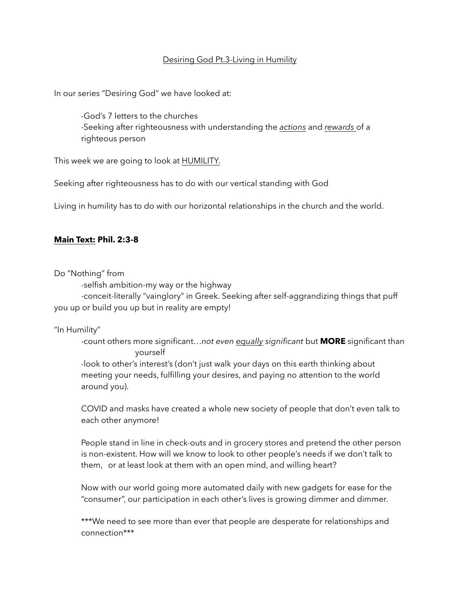### Desiring God Pt.3-Living in Humility

In our series "Desiring God" we have looked at:

 -God's 7 letters to the churches -Seeking after righteousness with understanding the *actions* and *rewards* of a righteous person

This week we are going to look at HUMILITY.

Seeking after righteousness has to do with our vertical standing with God

Living in humility has to do with our horizontal relationships in the church and the world.

#### **Main Text: Phil. 2:3-8**

Do "Nothing" from

-selfish ambition-my way or the highway

 -conceit-literally "vainglory" in Greek. Seeking after self-aggrandizing things that puff you up or build you up but in reality are empty!

#### "In Humility"

 -count others more significant…*not even equally significant* but **MORE** significant than yourself

 -look to other's interest's (don't just walk your days on this earth thinking about meeting your needs, fulfilling your desires, and paying no attention to the world around you).

 COVID and masks have created a whole new society of people that don't even talk to each other anymore!

 People stand in line in check-outs and in grocery stores and pretend the other person is non-existent. How will we know to look to other people's needs if we don't talk to them, or at least look at them with an open mind, and willing heart?

 Now with our world going more automated daily with new gadgets for ease for the "consumer", our participation in each other's lives is growing dimmer and dimmer.

\*\*\*We need to see more than ever that people are desperate for relationships and connection\*\*\*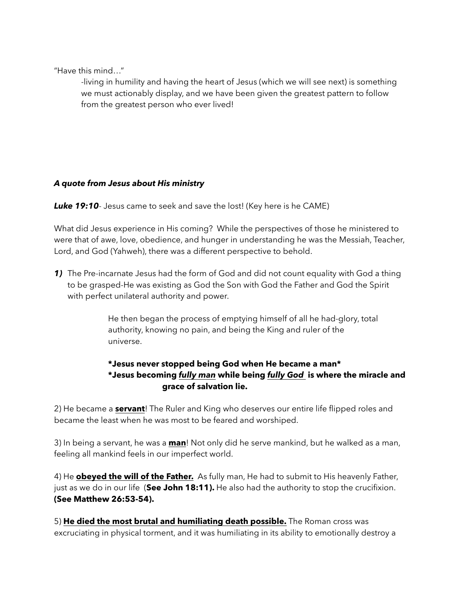"Have this mind…"

 -living in humility and having the heart of Jesus (which we will see next) is something we must actionably display, and we have been given the greatest pattern to follow from the greatest person who ever lived!

## *A quote from Jesus about His ministry*

**Luke 19:10**- Jesus came to seek and save the lost! (Key here is he CAME)

What did Jesus experience in His coming? While the perspectives of those he ministered to were that of awe, love, obedience, and hunger in understanding he was the Messiah, Teacher, Lord, and God (Yahweh), there was a different perspective to behold.

*1)* The Pre-incarnate Jesus had the form of God and did not count equality with God a thing to be grasped-He was existing as God the Son with God the Father and God the Spirit with perfect unilateral authority and power.

> He then began the process of emptying himself of all he had-glory, total authority, knowing no pain, and being the King and ruler of the universe.

# **\*Jesus never stopped being God when He became a man\* \*Jesus becoming** *fully man* **while being** *fully God* **is where the miracle and grace of salvation lie.**

2) He became a **servant**! The Ruler and King who deserves our entire life flipped roles and became the least when he was most to be feared and worshiped.

3) In being a servant, he was a **man**! Not only did he serve mankind, but he walked as a man, feeling all mankind feels in our imperfect world.

4) He **obeyed the will of the Father.** As fully man, He had to submit to His heavenly Father, just as we do in our life (**See John 18:11).** He also had the authority to stop the crucifixion. **(See Matthew 26:53-54).**

5) **He died the most brutal and humiliating death possible.** The Roman cross was excruciating in physical torment, and it was humiliating in its ability to emotionally destroy a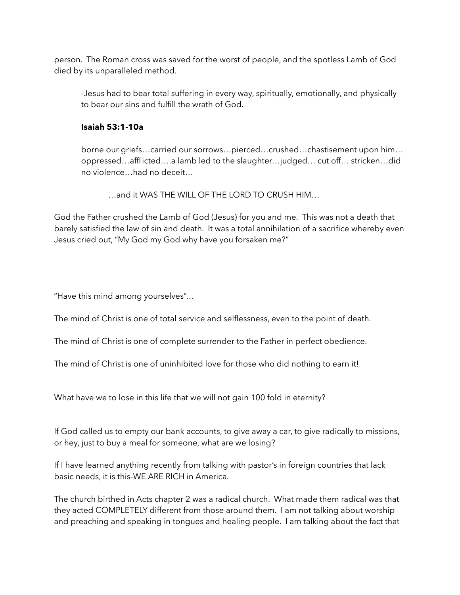person. The Roman cross was saved for the worst of people, and the spotless Lamb of God died by its unparalleled method.

 -Jesus had to bear total suffering in every way, spiritually, emotionally, and physically to bear our sins and fulfill the wrath of God.

## **Isaiah 53:1-10a**

borne our griefs…carried our sorrows…pierced…crushed…chastisement upon him… oppressed…afflicted….a lamb led to the slaughter…judged… cut off… stricken…did no violence…had no deceit…

…and it WAS THE WILL OF THE LORD TO CRUSH HIM…

God the Father crushed the Lamb of God (Jesus) for you and me. This was not a death that barely satisfied the law of sin and death. It was a total annihilation of a sacrifice whereby even Jesus cried out, "My God my God why have you forsaken me?"

"Have this mind among yourselves"…

The mind of Christ is one of total service and selflessness, even to the point of death.

The mind of Christ is one of complete surrender to the Father in perfect obedience.

The mind of Christ is one of uninhibited love for those who did nothing to earn it!

What have we to lose in this life that we will not gain 100 fold in eternity?

If God called us to empty our bank accounts, to give away a car, to give radically to missions, or hey, just to buy a meal for someone, what are we losing?

If I have learned anything recently from talking with pastor's in foreign countries that lack basic needs, it is this-WE ARE RICH in America.

The church birthed in Acts chapter 2 was a radical church. What made them radical was that they acted COMPLETELY different from those around them. I am not talking about worship and preaching and speaking in tongues and healing people. I am talking about the fact that